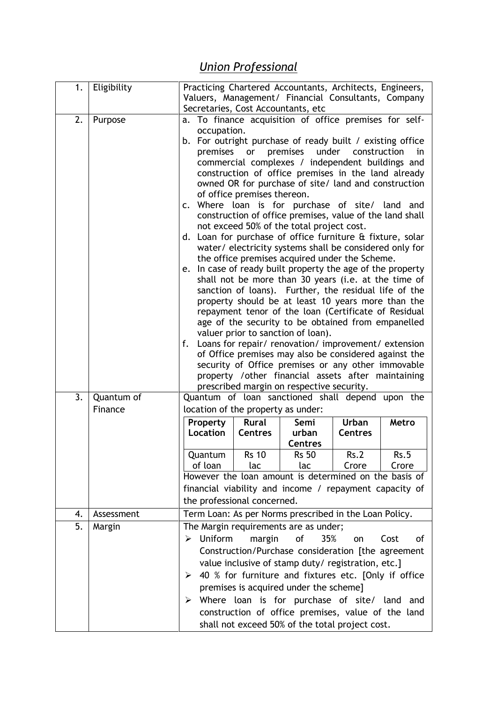## *Union Professional*

| 1. | Eligibility | Practicing Chartered Accountants, Architects, Engineers,<br>Valuers, Management/ Financial Consultants, Company                                                                                                                                                                                                                                                                                                                                                                                                                                                                                                                                                                                                                                                                                                                                                                                                                                                                                                                                                                                                                                                                                                                                                                                                                                                                                              |                |                                                    |                |            |
|----|-------------|--------------------------------------------------------------------------------------------------------------------------------------------------------------------------------------------------------------------------------------------------------------------------------------------------------------------------------------------------------------------------------------------------------------------------------------------------------------------------------------------------------------------------------------------------------------------------------------------------------------------------------------------------------------------------------------------------------------------------------------------------------------------------------------------------------------------------------------------------------------------------------------------------------------------------------------------------------------------------------------------------------------------------------------------------------------------------------------------------------------------------------------------------------------------------------------------------------------------------------------------------------------------------------------------------------------------------------------------------------------------------------------------------------------|----------------|----------------------------------------------------|----------------|------------|
|    |             |                                                                                                                                                                                                                                                                                                                                                                                                                                                                                                                                                                                                                                                                                                                                                                                                                                                                                                                                                                                                                                                                                                                                                                                                                                                                                                                                                                                                              |                |                                                    |                |            |
| 2. | Purpose     | Secretaries, Cost Accountants, etc<br>a. To finance acquisition of office premises for self-<br>occupation.<br>b. For outright purchase of ready built / existing office<br>premises<br>under<br>premises<br>construction<br>or<br>in<br>commercial complexes / independent buildings and<br>construction of office premises in the land already<br>owned OR for purchase of site/ land and construction<br>of office premises thereon.<br>c. Where loan is for purchase of site/ land and<br>construction of office premises, value of the land shall<br>not exceed 50% of the total project cost.<br>Loan for purchase of office furniture & fixture, solar<br>d.<br>water/ electricity systems shall be considered only for<br>the office premises acquired under the Scheme.<br>e. In case of ready built property the age of the property<br>shall not be more than 30 years (i.e. at the time of<br>sanction of loans). Further, the residual life of the<br>property should be at least 10 years more than the<br>repayment tenor of the loan (Certificate of Residual<br>age of the security to be obtained from empanelled<br>valuer prior to sanction of loan).<br>Loans for repair/ renovation/ improvement/ extension<br>f.<br>of Office premises may also be considered against the<br>security of Office premises or any other immovable<br>property /other financial assets after maintaining |                |                                                    |                |            |
|    |             |                                                                                                                                                                                                                                                                                                                                                                                                                                                                                                                                                                                                                                                                                                                                                                                                                                                                                                                                                                                                                                                                                                                                                                                                                                                                                                                                                                                                              |                | prescribed margin on respective security.          |                |            |
| 3. | Quantum of  | Quantum of loan sanctioned shall depend upon the                                                                                                                                                                                                                                                                                                                                                                                                                                                                                                                                                                                                                                                                                                                                                                                                                                                                                                                                                                                                                                                                                                                                                                                                                                                                                                                                                             |                |                                                    |                |            |
|    | Finance     | location of the property as under:                                                                                                                                                                                                                                                                                                                                                                                                                                                                                                                                                                                                                                                                                                                                                                                                                                                                                                                                                                                                                                                                                                                                                                                                                                                                                                                                                                           |                |                                                    |                |            |
|    |             | Property                                                                                                                                                                                                                                                                                                                                                                                                                                                                                                                                                                                                                                                                                                                                                                                                                                                                                                                                                                                                                                                                                                                                                                                                                                                                                                                                                                                                     | <b>Rural</b>   | Semi                                               | Urban          | Metro      |
|    |             | Location                                                                                                                                                                                                                                                                                                                                                                                                                                                                                                                                                                                                                                                                                                                                                                                                                                                                                                                                                                                                                                                                                                                                                                                                                                                                                                                                                                                                     | <b>Centres</b> | urban                                              | <b>Centres</b> |            |
|    |             | Quantum                                                                                                                                                                                                                                                                                                                                                                                                                                                                                                                                                                                                                                                                                                                                                                                                                                                                                                                                                                                                                                                                                                                                                                                                                                                                                                                                                                                                      | <b>Rs 10</b>   | <b>Centres</b><br><b>Rs 50</b>                     | Rs.2           | Rs.5       |
|    |             | of loan                                                                                                                                                                                                                                                                                                                                                                                                                                                                                                                                                                                                                                                                                                                                                                                                                                                                                                                                                                                                                                                                                                                                                                                                                                                                                                                                                                                                      | lac            | lac                                                | Crore          | Crore      |
|    |             | However the loan amount is determined on the basis of                                                                                                                                                                                                                                                                                                                                                                                                                                                                                                                                                                                                                                                                                                                                                                                                                                                                                                                                                                                                                                                                                                                                                                                                                                                                                                                                                        |                |                                                    |                |            |
|    |             | financial viability and income / repayment capacity of                                                                                                                                                                                                                                                                                                                                                                                                                                                                                                                                                                                                                                                                                                                                                                                                                                                                                                                                                                                                                                                                                                                                                                                                                                                                                                                                                       |                |                                                    |                |            |
|    |             | the professional concerned.                                                                                                                                                                                                                                                                                                                                                                                                                                                                                                                                                                                                                                                                                                                                                                                                                                                                                                                                                                                                                                                                                                                                                                                                                                                                                                                                                                                  |                |                                                    |                |            |
| 4. | Assessment  | Term Loan: As per Norms prescribed in the Loan Policy.                                                                                                                                                                                                                                                                                                                                                                                                                                                                                                                                                                                                                                                                                                                                                                                                                                                                                                                                                                                                                                                                                                                                                                                                                                                                                                                                                       |                |                                                    |                |            |
| 5. | Margin      | The Margin requirements are as under;                                                                                                                                                                                                                                                                                                                                                                                                                                                                                                                                                                                                                                                                                                                                                                                                                                                                                                                                                                                                                                                                                                                                                                                                                                                                                                                                                                        |                |                                                    |                |            |
|    |             | <b>Uniform</b><br>➤                                                                                                                                                                                                                                                                                                                                                                                                                                                                                                                                                                                                                                                                                                                                                                                                                                                                                                                                                                                                                                                                                                                                                                                                                                                                                                                                                                                          | margin         | of<br>35%                                          | on             | Cost<br>οf |
|    |             | Construction/Purchase consideration [the agreement                                                                                                                                                                                                                                                                                                                                                                                                                                                                                                                                                                                                                                                                                                                                                                                                                                                                                                                                                                                                                                                                                                                                                                                                                                                                                                                                                           |                |                                                    |                |            |
|    |             | value inclusive of stamp duty/ registration, etc.]                                                                                                                                                                                                                                                                                                                                                                                                                                                                                                                                                                                                                                                                                                                                                                                                                                                                                                                                                                                                                                                                                                                                                                                                                                                                                                                                                           |                |                                                    |                |            |
|    |             | 40 % for furniture and fixtures etc. [Only if office<br>➤                                                                                                                                                                                                                                                                                                                                                                                                                                                                                                                                                                                                                                                                                                                                                                                                                                                                                                                                                                                                                                                                                                                                                                                                                                                                                                                                                    |                |                                                    |                |            |
|    |             | premises is acquired under the scheme]<br>Where loan is for purchase of site/ land                                                                                                                                                                                                                                                                                                                                                                                                                                                                                                                                                                                                                                                                                                                                                                                                                                                                                                                                                                                                                                                                                                                                                                                                                                                                                                                           |                |                                                    |                |            |
|    |             | ➤                                                                                                                                                                                                                                                                                                                                                                                                                                                                                                                                                                                                                                                                                                                                                                                                                                                                                                                                                                                                                                                                                                                                                                                                                                                                                                                                                                                                            |                | construction of office premises, value of the land |                | and        |
|    |             |                                                                                                                                                                                                                                                                                                                                                                                                                                                                                                                                                                                                                                                                                                                                                                                                                                                                                                                                                                                                                                                                                                                                                                                                                                                                                                                                                                                                              |                | shall not exceed 50% of the total project cost.    |                |            |
|    |             |                                                                                                                                                                                                                                                                                                                                                                                                                                                                                                                                                                                                                                                                                                                                                                                                                                                                                                                                                                                                                                                                                                                                                                                                                                                                                                                                                                                                              |                |                                                    |                |            |